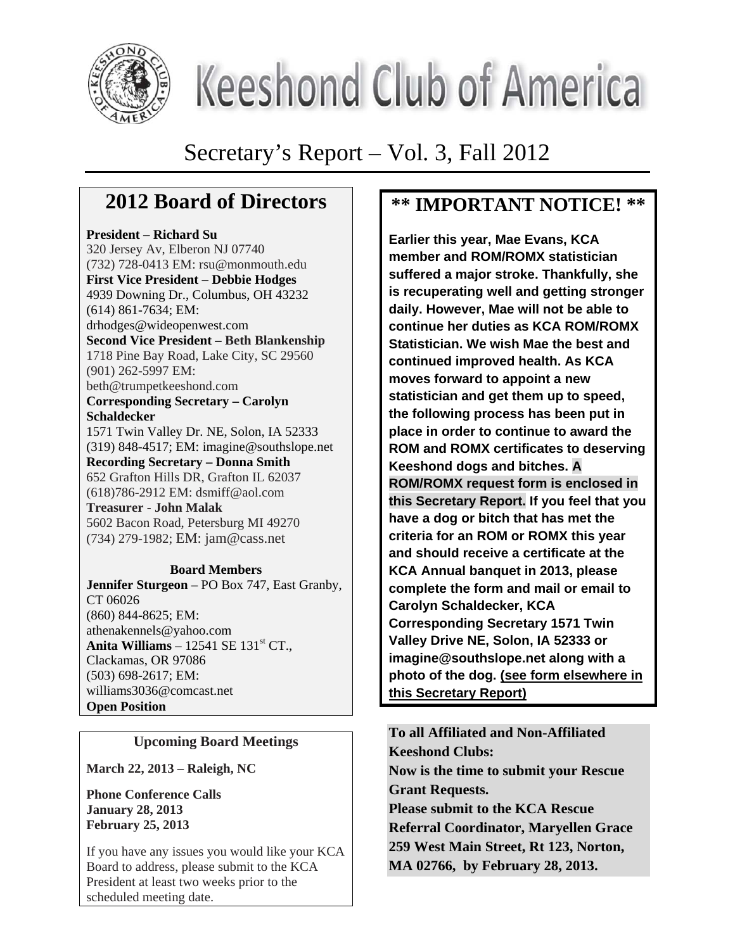

# **Keeshond Club of America**

## Secretary's Report – Vol. 3, Fall 2012

## **2012 Board of Directors**

#### **President – Richard Su**

320 Jersey Av, Elberon NJ 07740 (732) 728-0413 EM: rsu@monmouth.edu **First Vice President – Debbie Hodges**  4939 Downing Dr., Columbus, OH 43232 (614) 861-7634; EM: drhodges@wideopenwest.com **Second Vice President – Beth Blankenship**  1718 Pine Bay Road, Lake City, SC 29560 (901) 262-5997 EM: beth@trumpetkeeshond.com **Corresponding Secretary – Carolyn Schaldecker**  1571 Twin Valley Dr. NE, Solon, IA 52333 (319) 848-4517; EM: imagine@southslope.net **Recording Secretary – Donna Smith**  652 Grafton Hills DR, Grafton IL 62037 (618)786-2912 EM: dsmiff@aol.com **Treasurer - John Malak**  5602 Bacon Road, Petersburg MI 49270 (734) 279-1982; EM: jam@cass.net **Board Members** 

#### **Jennifer Sturgeon** – PO Box 747, East Granby, CT 06026 (860) 844-8625; EM: athenakennels@yahoo.com **Anita Williams** – 12541 SE 131<sup>st</sup> CT., Clackamas, OR 97086 (503) 698-2617; EM:

williams3036@comcast.net **Open Position** 

#### **Upcoming Board Meetings**

**March 22, 2013 – Raleigh, NC** 

**Phone Conference Calls January 28, 2013 February 25, 2013** 

If you have any issues you would like your KCA Board to address, please submit to the KCA President at least two weeks prior to the scheduled meeting date.

## **\*\* IMPORTANT NOTICE! \*\***

**Earlier this year, Mae Evans, KCA member and ROM/ROMX statistician suffered a major stroke. Thankfully, she is recuperating well and getting stronger daily. However, Mae will not be able to continue her duties as KCA ROM/ROMX Statistician. We wish Mae the best and continued improved health. As KCA moves forward to appoint a new statistician and get them up to speed, the following process has been put in place in order to continue to award the ROM and ROMX certificates to deserving Keeshond dogs and bitches. A ROM/ROMX request form is enclosed in this Secretary Report. If you feel that you have a dog or bitch that has met the criteria for an ROM or ROMX this year and should receive a certificate at the KCA Annual banquet in 2013, please complete the form and mail or email to Carolyn Schaldecker, KCA Corresponding Secretary 1571 Twin Valley Drive NE, Solon, IA 52333 or imagine@southslope.net along with a photo of the dog. (see form elsewhere in this Secretary Report)**

**To all Affiliated and Non-Affiliated Keeshond Clubs: Now is the time to submit your Rescue Grant Requests. Please submit to the KCA Rescue Referral Coordinator, Maryellen Grace 259 West Main Street, Rt 123, Norton, MA 02766, by February 28, 2013.**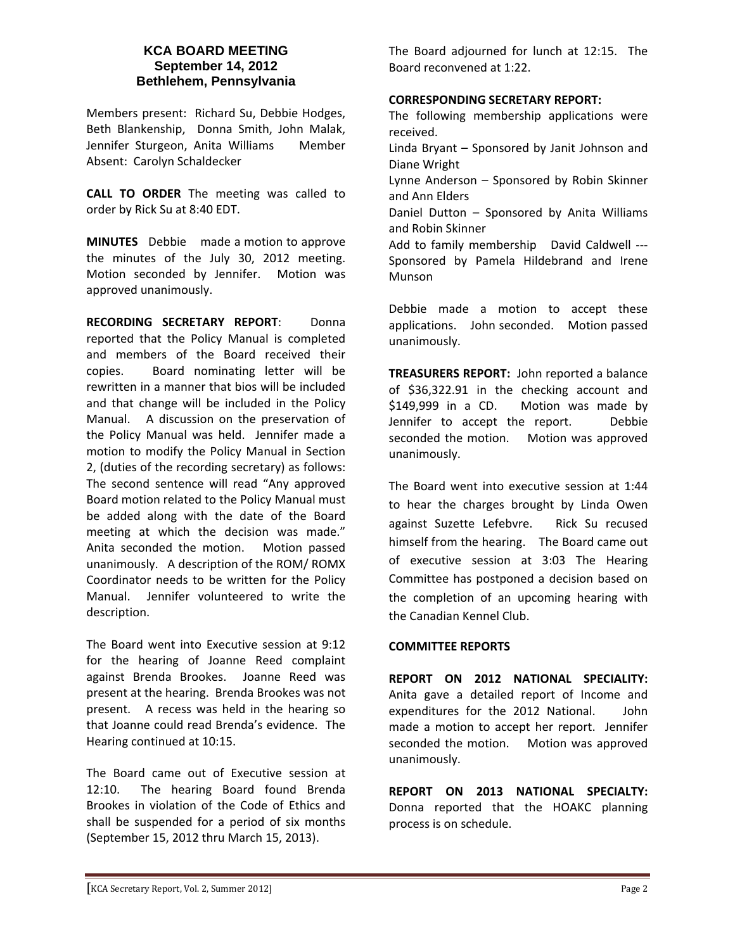#### **KCA BOARD MEETING September 14, 2012 Bethlehem, Pennsylvania**

Members present: Richard Su, Debbie Hodges, Beth Blankenship, Donna Smith, John Malak, Jennifer Sturgeon, Anita Williams Member Absent: Carolyn Schaldecker

**CALL TO ORDER** The meeting was called to order by Rick Su at 8:40 EDT.

**MINUTES** Debbie made a motion to approve the minutes of the July 30, 2012 meeting. Motion seconded by Jennifer. Motion was approved unanimously.

**RECORDING SECRETARY REPORT**: Donna reported that the Policy Manual is completed and members of the Board received their copies. Board nominating letter will be rewritten in a manner that bios will be included and that change will be included in the Policy Manual. A discussion on the preservation of the Policy Manual was held. Jennifer made a motion to modify the Policy Manual in Section 2, (duties of the recording secretary) as follows: The second sentence will read "Any approved Board motion related to the Policy Manual must be added along with the date of the Board meeting at which the decision was made." Anita seconded the motion. Motion passed unanimously. A description of the ROM/ ROMX Coordinator needs to be written for the Policy Manual. Jennifer volunteered to write the description.

The Board went into Executive session at 9:12 for the hearing of Joanne Reed complaint against Brenda Brookes. Joanne Reed was present at the hearing. Brenda Brookes was not present. A recess was held in the hearing so that Joanne could read Brenda's evidence. The Hearing continued at 10:15.

The Board came out of Executive session at 12:10. The hearing Board found Brenda Brookes in violation of the Code of Ethics and shall be suspended for a period of six months (September 15, 2012 thru March 15, 2013).

The Board adjourned for lunch at 12:15. The Board reconvened at 1:22.

#### **CORRESPONDING SECRETARY REPORT:**

The following membership applications were received.

Linda Bryant – Sponsored by Janit Johnson and Diane Wright

Lynne Anderson – Sponsored by Robin Skinner and Ann Elders

Daniel Dutton – Sponsored by Anita Williams and Robin Skinner

Add to family membership David Caldwell ---Sponsored by Pamela Hildebrand and Irene Munson

Debbie made a motion to accept these applications. John seconded. Motion passed unanimously.

**TREASURERS REPORT:** John reported a balance of \$36,322.91 in the checking account and \$149,999 in a CD. Motion was made by Jennifer to accept the report. Debbie seconded the motion. Motion was approved unanimously.

The Board went into executive session at 1:44 to hear the charges brought by Linda Owen against Suzette Lefebvre. Rick Su recused himself from the hearing. The Board came out of executive session at 3:03 The Hearing Committee has postponed a decision based on the completion of an upcoming hearing with the Canadian Kennel Club.

#### **COMMITTEE REPORTS**

**REPORT ON 2012 NATIONAL SPECIALITY:**  Anita gave a detailed report of Income and expenditures for the 2012 National. John made a motion to accept her report. Jennifer seconded the motion. Motion was approved unanimously.

**REPORT ON 2013 NATIONAL SPECIALTY:**  Donna reported that the HOAKC planning process is on schedule.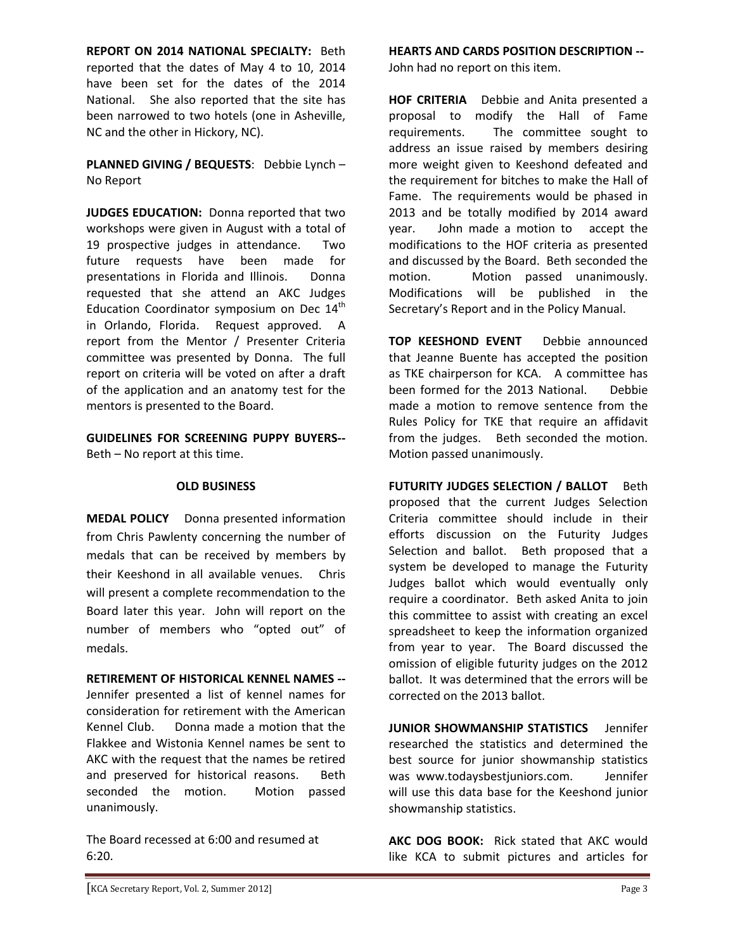**REPORT ON 2014 NATIONAL SPECIALTY:** Beth reported that the dates of May 4 to 10, 2014 have been set for the dates of the 2014 National. She also reported that the site has been narrowed to two hotels (one in Asheville, NC and the other in Hickory, NC).

**PLANNED GIVING / BEQUESTS**: Debbie Lynch – No Report

**JUDGES EDUCATION:** Donna reported that two workshops were given in August with a total of 19 prospective judges in attendance. Two future requests have been made for presentations in Florida and Illinois. Donna requested that she attend an AKC Judges Education Coordinator symposium on Dec  $14<sup>th</sup>$ in Orlando, Florida. Request approved. A report from the Mentor / Presenter Criteria committee was presented by Donna. The full report on criteria will be voted on after a draft of the application and an anatomy test for the mentors is presented to the Board.

**GUIDELINES FOR SCREENING PUPPY BUYERS‐‐** Beth – No report at this time.

#### **OLD BUSINESS**

**MEDAL POLICY** Donna presented information from Chris Pawlenty concerning the number of medals that can be received by members by their Keeshond in all available venues. Chris will present a complete recommendation to the Board later this year. John will report on the number of members who "opted out" of medals.

**RETIREMENT OF HISTORICAL KENNEL NAMES ‐‐**  Jennifer presented a list of kennel names for consideration for retirement with the American Kennel Club. Donna made a motion that the Flakkee and Wistonia Kennel names be sent to AKC with the request that the names be retired and preserved for historical reasons. Beth seconded the motion. Motion passed unanimously.

The Board recessed at 6:00 and resumed at 6:20.

**HEARTS AND CARDS POSITION DESCRIPTION --**

John had no report on this item.

**HOF CRITERIA** Debbie and Anita presented a proposal to modify the Hall of Fame requirements. The committee sought to address an issue raised by members desiring more weight given to Keeshond defeated and the requirement for bitches to make the Hall of Fame. The requirements would be phased in 2013 and be totally modified by 2014 award year. John made a motion to accept the modifications to the HOF criteria as presented and discussed by the Board. Beth seconded the motion. Motion passed unanimously. Modifications will be published in the Secretary's Report and in the Policy Manual.

**TOP KEESHOND EVENT** Debbie announced that Jeanne Buente has accepted the position as TKE chairperson for KCA. A committee has been formed for the 2013 National. Debbie made a motion to remove sentence from the Rules Policy for TKE that require an affidavit from the judges. Beth seconded the motion. Motion passed unanimously.

**FUTURITY JUDGES SELECTION / BALLOT** Beth proposed that the current Judges Selection Criteria committee should include in their efforts discussion on the Futurity Judges Selection and ballot. Beth proposed that a system be developed to manage the Futurity Judges ballot which would eventually only require a coordinator. Beth asked Anita to join this committee to assist with creating an excel spreadsheet to keep the information organized from year to year. The Board discussed the omission of eligible futurity judges on the 2012 ballot. It was determined that the errors will be corrected on the 2013 ballot.

**JUNIOR SHOWMANSHIP STATISTICS** Jennifer researched the statistics and determined the best source for junior showmanship statistics was www.todaysbestjuniors.com. Jennifer will use this data base for the Keeshond junior showmanship statistics.

**AKC DOG BOOK:**  Rick stated that AKC would like KCA to submit pictures and articles for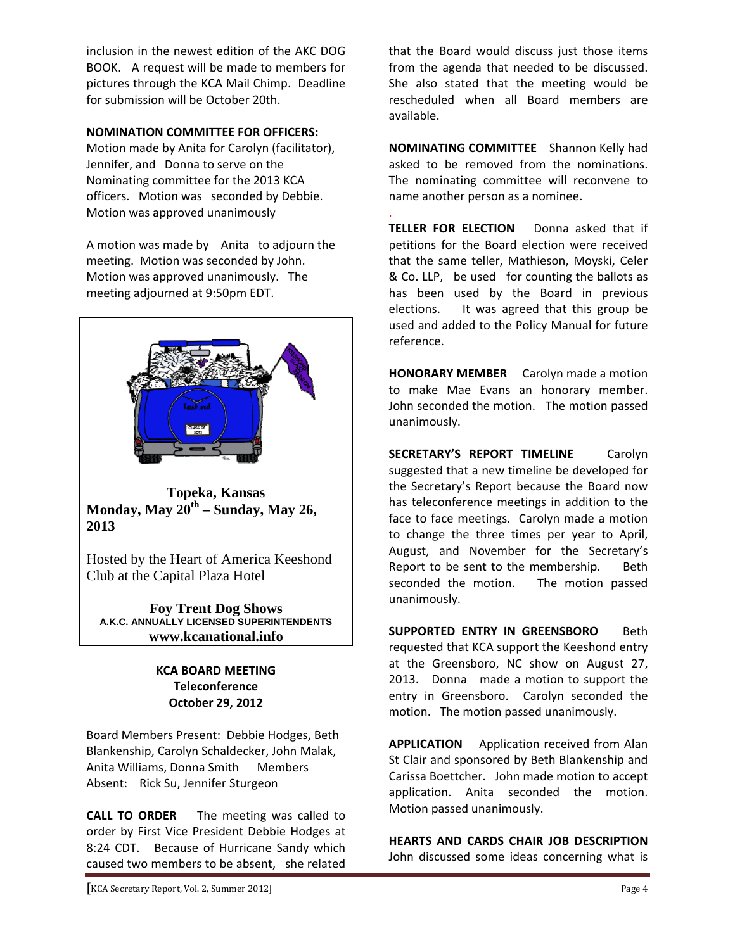inclusion in the newest edition of the AKC DOG BOOK. A request will be made to members for pictures through the KCA Mail Chimp. Deadline for submission will be October 20th.

#### **NOMINATION COMMITTEE FOR OFFICERS:**

Motion made by Anita for Carolyn (facilitator), Jennifer, and Donna to serve on the Nominating committee for the 2013 KCA officers. Motion was seconded by Debbie. Motion was approved unanimously

A motion was made by Anita to adjourn the meeting. Motion was seconded by John. Motion was approved unanimously. The meeting adjourned at 9:50pm EDT.



**Topeka, Kansas Monday, May 20th – Sunday, May 26, 2013** 

Hosted by the Heart of America Keeshond Club at the Capital Plaza Hotel

**Foy Trent Dog Shows A.K.C. ANNUALLY LICENSED SUPERINTENDENTS www.kcanational.info** 

#### **KCA BOARD MEETING Teleconference October 29, 2012**

Board Members Present: Debbie Hodges, Beth Blankenship, Carolyn Schaldecker, John Malak, Anita Williams, Donna Smith Members Absent: Rick Su, Jennifer Sturgeon

**CALL TO ORDER**  The meeting was called to order by First Vice President Debbie Hodges at 8:24 CDT. Because of Hurricane Sandy which caused two members to be absent, she related

that the Board would discuss just those items from the agenda that needed to be discussed. She also stated that the meeting would be rescheduled when all Board members are available.

**NOMINATING COMMITTEE** Shannon Kelly had asked to be removed from the nominations. The nominating committee will reconvene to name another person as a nominee.

.

**TELLER FOR ELECTION**  Donna asked that if petitions for the Board election were received that the same teller, Mathieson, Moyski, Celer & Co. LLP, be used for counting the ballots as has been used by the Board in previous elections. It was agreed that this group be used and added to the Policy Manual for future reference.

**HONORARY MEMBER** Carolyn made a motion to make Mae Evans an honorary member. John seconded the motion. The motion passed unanimously.

**SECRETARY'S REPORT TIMELINE**  Carolyn suggested that a new timeline be developed for the Secretary's Report because the Board now has teleconference meetings in addition to the face to face meetings. Carolyn made a motion to change the three times per year to April, August, and November for the Secretary's Report to be sent to the membership. Beth seconded the motion. The motion passed unanimously.

**SUPPORTED ENTRY IN GREENSBORO**  Beth requested that KCA support the Keeshond entry at the Greensboro, NC show on August 27, 2013. Donna made a motion to support the entry in Greensboro. Carolyn seconded the motion. The motion passed unanimously.

**APPLICATION** Application received from Alan St Clair and sponsored by Beth Blankenship and Carissa Boettcher. John made motion to accept application. Anita seconded the motion. Motion passed unanimously.

**HEARTS AND CARDS CHAIR JOB DESCRIPTION**  John discussed some ideas concerning what is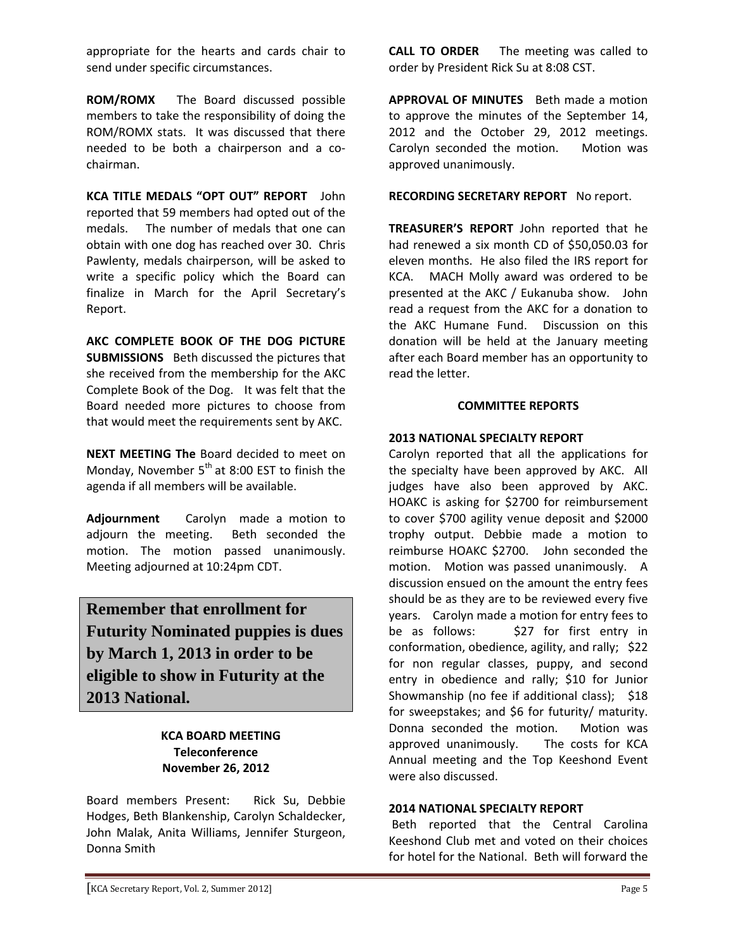appropriate for the hearts and cards chair to send under specific circumstances.

**ROM/ROMX**  The Board discussed possible members to take the responsibility of doing the ROM/ROMX stats. It was discussed that there needed to be both a chairperson and a co‐ chairman.

**KCA TITLE MEDALS "OPT OUT" REPORT** John reported that 59 members had opted out of the medals. The number of medals that one can obtain with one dog has reached over 30. Chris Pawlenty, medals chairperson, will be asked to write a specific policy which the Board can finalize in March for the April Secretary's Report.

**AKC COMPLETE BOOK OF THE DOG PICTURE SUBMISSIONS** Beth discussed the pictures that she received from the membership for the AKC Complete Book of the Dog. It was felt that the Board needed more pictures to choose from that would meet the requirements sent by AKC.

**NEXT MEETING The** Board decided to meet on Monday, November  $5<sup>th</sup>$  at 8:00 EST to finish the agenda if all members will be available.

**Adjournment**  Carolyn made a motion to adjourn the meeting. Beth seconded the motion. The motion passed unanimously. Meeting adjourned at 10:24pm CDT.

**Remember that enrollment for Futurity Nominated puppies is dues by March 1, 2013 in order to be eligible to show in Futurity at the 2013 National.** 

#### **KCA BOARD MEETING Teleconference November 26, 2012**

Board members Present: Rick Su, Debbie Hodges, Beth Blankenship, Carolyn Schaldecker, John Malak, Anita Williams, Jennifer Sturgeon, Donna Smith

**CALL TO ORDER**  The meeting was called to order by President Rick Su at 8:08 CST.

**APPROVAL OF MINUTES** Beth made a motion to approve the minutes of the September 14, 2012 and the October 29, 2012 meetings. Carolyn seconded the motion. Motion was approved unanimously.

**RECORDING SECRETARY REPORT** No report.

**TREASURER'S REPORT** John reported that he had renewed a six month CD of \$50,050.03 for eleven months. He also filed the IRS report for KCA. MACH Molly award was ordered to be presented at the AKC / Eukanuba show. John read a request from the AKC for a donation to the AKC Humane Fund. Discussion on this donation will be held at the January meeting after each Board member has an opportunity to read the letter.

#### **COMMITTEE REPORTS**

#### **2013 NATIONAL SPECIALTY REPORT**

Carolyn reported that all the applications for the specialty have been approved by AKC. All judges have also been approved by AKC. HOAKC is asking for \$2700 for reimbursement to cover \$700 agility venue deposit and \$2000 trophy output. Debbie made a motion to reimburse HOAKC \$2700. John seconded the motion. Motion was passed unanimously. A discussion ensued on the amount the entry fees should be as they are to be reviewed every five years. Carolyn made a motion for entry fees to be as follows: \$27 for first entry in conformation, obedience, agility, and rally; \$22 for non regular classes, puppy, and second entry in obedience and rally; \$10 for Junior Showmanship (no fee if additional class); \$18 for sweepstakes; and \$6 for futurity/ maturity. Donna seconded the motion. Motion was approved unanimously. The costs for KCA Annual meeting and the Top Keeshond Event were also discussed.

#### **2014 NATIONAL SPECIALTY REPORT**

Beth reported that the Central Carolina Keeshond Club met and voted on their choices for hotel for the National. Beth will forward the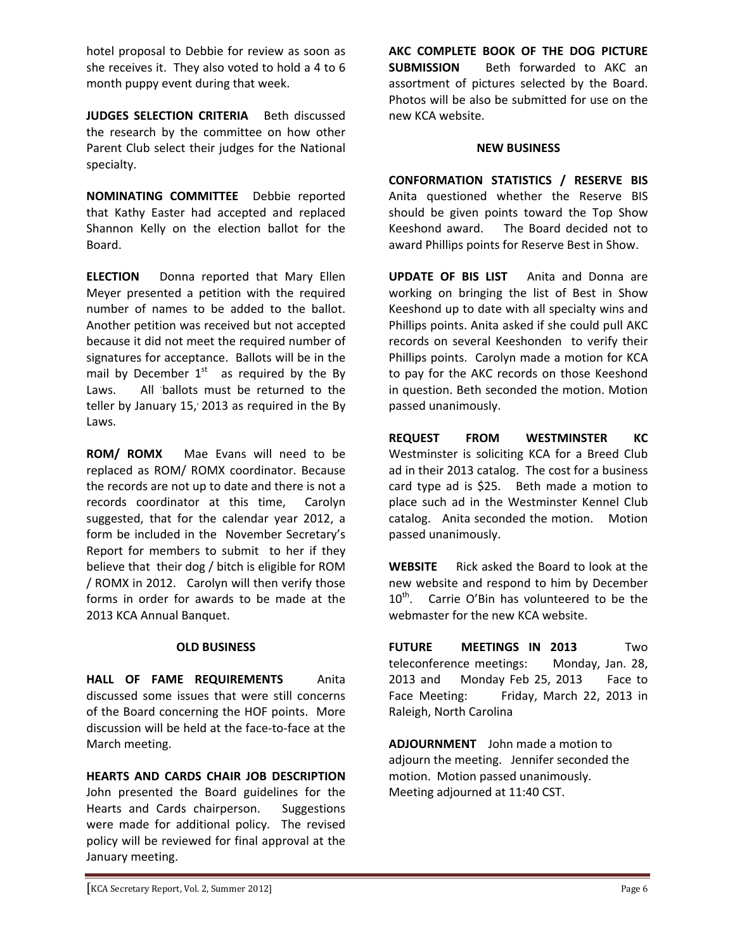hotel proposal to Debbie for review as soon as she receives it. They also voted to hold a 4 to 6 month puppy event during that week.

**JUDGES SELECTION CRITERIA**  Beth discussed the research by the committee on how other Parent Club select their judges for the National specialty.

**NOMINATING COMMITTEE** Debbie reported that Kathy Easter had accepted and replaced Shannon Kelly on the election ballot for the Board.

**ELECTION**  Donna reported that Mary Ellen Meyer presented a petition with the required number of names to be added to the ballot. Another petition was received but not accepted because it did not meet the required number of signatures for acceptance. Ballots will be in the mail by December  $1<sup>st</sup>$  as required by the By Laws. All ballots must be returned to the teller by January 15,' 2013 as required in the By Laws.

**ROM/ ROMX**  Mae Evans will need to be replaced as ROM/ ROMX coordinator. Because the records are not up to date and there is not a records coordinator at this time, Carolyn suggested, that for the calendar year 2012, a form be included in the November Secretary's Report for members to submit to her if they believe that their dog / bitch is eligible for ROM / ROMX in 2012. Carolyn will then verify those forms in order for awards to be made at the 2013 KCA Annual Banquet.

#### **OLD BUSINESS**

**HALL OF FAME REQUIREMENTS**  Anita discussed some issues that were still concerns of the Board concerning the HOF points. More discussion will be held at the face‐to‐face at the March meeting.

**HEARTS AND CARDS CHAIR JOB DESCRIPTION**  John presented the Board guidelines for the Hearts and Cards chairperson. Suggestions were made for additional policy. The revised policy will be reviewed for final approval at the January meeting.

**AKC COMPLETE BOOK OF THE DOG PICTURE SUBMISSION** Beth forwarded to AKC an assortment of pictures selected by the Board. Photos will be also be submitted for use on the new KCA website.

#### **NEW BUSINESS**

**CONFORMATION STATISTICS / RESERVE BIS**  Anita questioned whether the Reserve BIS should be given points toward the Top Show Keeshond award. The Board decided not to award Phillips points for Reserve Best in Show.

**UPDATE OF BIS LIST**  Anita and Donna are working on bringing the list of Best in Show Keeshond up to date with all specialty wins and Phillips points. Anita asked if she could pull AKC records on several Keeshonden to verify their Phillips points. Carolyn made a motion for KCA to pay for the AKC records on those Keeshond in question. Beth seconded the motion. Motion passed unanimously.

**REQUEST FROM WESTMINSTER KC**  Westminster is soliciting KCA for a Breed Club ad in their 2013 catalog. The cost for a business card type ad is \$25. Beth made a motion to place such ad in the Westminster Kennel Club catalog. Anita seconded the motion. Motion passed unanimously.

**WEBSITE** Rick asked the Board to look at the new website and respond to him by December  $10<sup>th</sup>$ . Carrie O'Bin has volunteered to be the webmaster for the new KCA website.

**FUTURE MEETINGS IN 2013**  Two teleconference meetings: Monday, Jan. 28, 2013 and Monday Feb 25, 2013 Face to Face Meeting: Friday, March 22, 2013 in Raleigh, North Carolina

**ADJOURNMENT** John made a motion to adjourn the meeting. Jennifer seconded the motion. Motion passed unanimously. Meeting adjourned at 11:40 CST.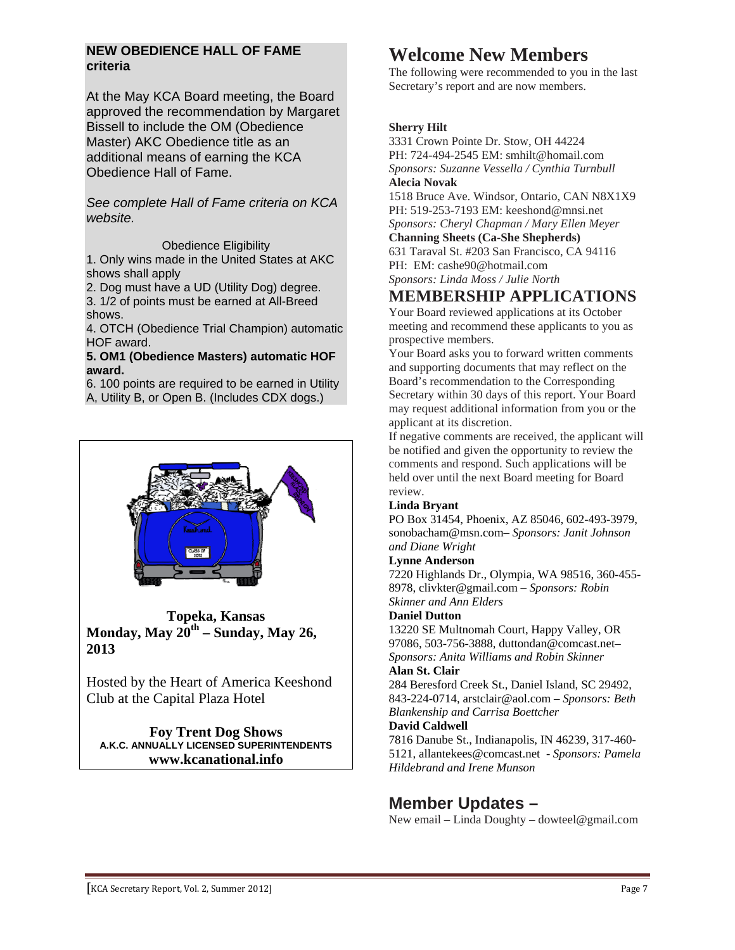#### **NEW OBEDIENCE HALL OF FAME criteria**

At the May KCA Board meeting, the Board approved the recommendation by Margaret Bissell to include the OM (Obedience Master) AKC Obedience title as an additional means of earning the KCA Obedience Hall of Fame.

*See complete Hall of Fame criteria on KCA website.*

Obedience Eligibility

1. Only wins made in the United States at AKC shows shall apply

2. Dog must have a UD (Utility Dog) degree. 3. 1/2 of points must be earned at All-Breed

shows.

4. OTCH (Obedience Trial Champion) automatic HOF award.

#### **5. OM1 (Obedience Masters) automatic HOF award.**

6. 100 points are required to be earned in Utility A, Utility B, or Open B. (Includes CDX dogs.)

**Topeka, Kansas Monday, May 20th – Sunday, May 26, 2013** 

Hosted by the Heart of America Keeshond Club at the Capital Plaza Hotel

**Foy Trent Dog Shows A.K.C. ANNUALLY LICENSED SUPERINTENDENTS www.kcanational.info** 

## **Welcome New Members**

The following were recommended to you in the last Secretary's report and are now members.

#### **Sherry Hilt**

3331 Crown Pointe Dr. Stow, OH 44224 PH: 724-494-2545 EM: smhilt@homail.com *Sponsors: Suzanne Vessella / Cynthia Turnbull*  **Alecia Novak** 

1518 Bruce Ave. Windsor, Ontario, CAN N8X1X9 PH: 519-253-7193 EM: keeshond@mnsi.net *Sponsors: Cheryl Chapman / Mary Ellen Meyer*  **Channing Sheets (Ca-She Shepherds)** 

631 Taraval St. #203 San Francisco, CA 94116 PH: EM: cashe90@hotmail.com *Sponsors: Linda Moss / Julie North* 

**MEMBERSHIP APPLICATIONS** 

Your Board reviewed applications at its October meeting and recommend these applicants to you as prospective members.

Your Board asks you to forward written comments and supporting documents that may reflect on the Board's recommendation to the Corresponding Secretary within 30 days of this report. Your Board may request additional information from you or the applicant at its discretion.

If negative comments are received, the applicant will be notified and given the opportunity to review the comments and respond. Such applications will be held over until the next Board meeting for Board review.

#### **Linda Bryant**

PO Box 31454, Phoenix, AZ 85046, 602-493-3979, sonobacham@msn.com– *Sponsors: Janit Johnson and Diane Wright*

#### **Lynne Anderson**

7220 Highlands Dr., Olympia, WA 98516, 360-455- 8978, clivkter@gmail.com – *Sponsors: Robin Skinner and Ann Elders*

#### **Daniel Dutton**

13220 SE Multnomah Court, Happy Valley, OR 97086, 503-756-3888, duttondan@comcast.net– *Sponsors: Anita Williams and Robin Skinner*

#### **Alan St. Clair**

284 Beresford Creek St., Daniel Island, SC 29492, 843-224-0714, arstclair@aol.com – *Sponsors: Beth Blankenship and Carrisa Boettcher*

#### **David Caldwell**

7816 Danube St., Indianapolis, IN 46239, 317-460- 5121, allantekees@comcast.net - *Sponsors: Pamela Hildebrand and Irene Munson*

#### **Member Updates –**

New email – Linda Doughty – dowteel@gmail.com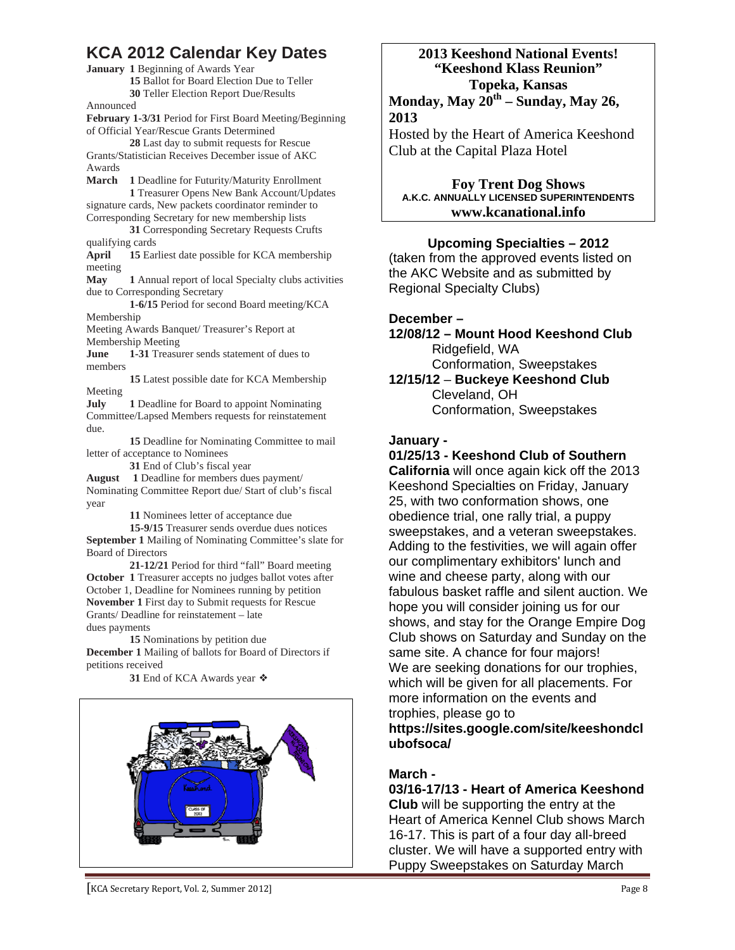#### **KCA 2012 Calendar Key Dates**

**January 1** Beginning of Awards Year **15** Ballot for Board Election Due to Teller **30** Teller Election Report Due/Results

Announced

**February 1-3/31** Period for First Board Meeting/Beginning of Official Year/Rescue Grants Determined

**28** Last day to submit requests for Rescue Grants/Statistician Receives December issue of AKC Awards

**March 1** Deadline for Futurity/Maturity Enrollment **1** Treasurer Opens New Bank Account/Updates signature cards, New packets coordinator reminder to Corresponding Secretary for new membership lists

**31** Corresponding Secretary Requests Crufts qualifying cards

**April 15** Earliest date possible for KCA membership meeting

**May 1** Annual report of local Specialty clubs activities due to Corresponding Secretary

**1-6/15** Period for second Board meeting/KCA Membership

Meeting Awards Banquet/ Treasurer's Report at Membership Meeting

**June 1-31** Treasurer sends statement of dues to members

**15** Latest possible date for KCA Membership Meeting

**July** 1 Deadline for Board to appoint Nominating Committee/Lapsed Members requests for reinstatement due.

**15** Deadline for Nominating Committee to mail letter of acceptance to Nominees

**31** End of Club's fiscal year

**August 1** Deadline for members dues payment/ Nominating Committee Report due/ Start of club's fiscal year

**11** Nominees letter of acceptance due

**15-9/15** Treasurer sends overdue dues notices **September 1** Mailing of Nominating Committee's slate for

Board of Directors **21-12/21** Period for third "fall" Board meeting

**October 1** Treasurer accepts no judges ballot votes after October 1, Deadline for Nominees running by petition **November 1** First day to Submit requests for Rescue Grants/ Deadline for reinstatement – late dues payments

**15** Nominations by petition due **December 1** Mailing of ballots for Board of Directors if petitions received

**31** End of KCA Awards year ❖



#### **2013 Keeshond National Events! "Keeshond Klass Reunion" Topeka, Kansas Monday, May 20th – Sunday, May 26, 2013**

Hosted by the Heart of America Keeshond Club at the Capital Plaza Hotel

**Foy Trent Dog Shows A.K.C. ANNUALLY LICENSED SUPERINTENDENTS www.kcanational.info** 

#### **Upcoming Specialties – 2012**

(taken from the approved events listed on the AKC Website and as submitted by Regional Specialty Clubs)

#### **December –**

**12/08/12 – Mount Hood Keeshond Club**  Ridgefield, WA Conformation, Sweepstakes

**12/15/12** – **Buckeye Keeshond Club** Cleveland, OH Conformation, Sweepstakes

#### **January -**

#### **01/25/13 - Keeshond Club of Southern**

**California** will once again kick off the 2013 Keeshond Specialties on Friday, January 25, with two conformation shows, one obedience trial, one rally trial, a puppy sweepstakes, and a veteran sweepstakes. Adding to the festivities, we will again offer our complimentary exhibitors' lunch and wine and cheese party, along with our fabulous basket raffle and silent auction. We hope you will consider joining us for our shows, and stay for the Orange Empire Dog Club shows on Saturday and Sunday on the same site. A chance for four majors! We are seeking donations for our trophies, which will be given for all placements. For more information on the events and trophies, please go to

#### **https://sites.google.com/site/keeshondcl ubofsoca/**

#### **March -**

**03/16-17/13 - Heart of America Keeshond Club** will be supporting the entry at the Heart of America Kennel Club shows March 16-17. This is part of a four day all-breed cluster. We will have a supported entry with Puppy Sweepstakes on Saturday March

[KCA Secretary Report, Vol. 2, Summer 2012] Page 8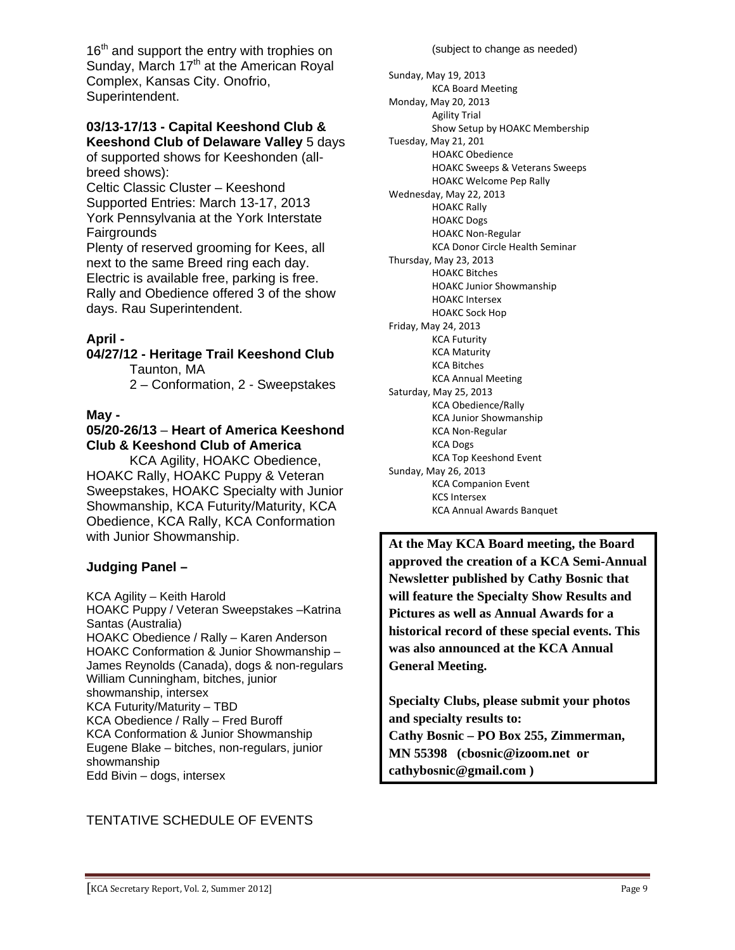16<sup>th</sup> and support the entry with trophies on Sunday, March  $17<sup>th</sup>$  at the American Royal Complex, Kansas City. Onofrio, Superintendent.

#### **03/13-17/13 - Capital Keeshond Club & Keeshond Club of Delaware Valley** 5 days

of supported shows for Keeshonden (allbreed shows):

Celtic Classic Cluster – Keeshond Supported Entries: March 13-17, 2013 York Pennsylvania at the York Interstate **Fairgrounds** 

Plenty of reserved grooming for Kees, all next to the same Breed ring each day. Electric is available free, parking is free. Rally and Obedience offered 3 of the show days. Rau Superintendent.

#### **April -**

## **04/27/12 - Heritage Trail Keeshond Club**

Taunton, MA

2 – Conformation, 2 - Sweepstakes

#### **May -**

#### **05/20-26/13** – **Heart of America Keeshond Club & Keeshond Club of America**

 KCA Agility, HOAKC Obedience, HOAKC Rally, HOAKC Puppy & Veteran Sweepstakes, HOAKC Specialty with Junior Showmanship, KCA Futurity/Maturity, KCA Obedience, KCA Rally, KCA Conformation with Junior Showmanship.

#### **Judging Panel –**

KCA Agility – Keith Harold

HOAKC Puppy / Veteran Sweepstakes –Katrina Santas (Australia) HOAKC Obedience / Rally – Karen Anderson HOAKC Conformation & Junior Showmanship – James Reynolds (Canada), dogs & non-regulars William Cunningham, bitches, junior showmanship, intersex KCA Futurity/Maturity – TBD KCA Obedience / Rally – Fred Buroff KCA Conformation & Junior Showmanship Eugene Blake – bitches, non-regulars, junior showmanship Edd Bivin – dogs, intersex

#### Show Setup by HOAKC Membership

Sunday, May 19, 2013

Monday, May 20, 2013 Agility Trial

Tuesday, May 21, 201 HOAKC Obedience HOAKC Sweeps & Veterans Sweeps HOAKC Welcome Pep Rally Wednesday, May 22, 2013 HOAKC Rally HOAKC Dogs HOAKC Non‐Regular KCA Donor Circle Health Seminar Thursday, May 23, 2013 HOAKC Bitches HOAKC Junior Showmanship HOAKC Intersex HOAKC Sock Hop Friday, May 24, 2013 KCA Futurity KCA Maturity KCA Bitches KCA Annual Meeting Saturday, May 25, 2013 KCA Obedience/Rally KCA Junior Showmanship KCA Non‐Regular KCA Dogs KCA Top Keeshond Event Sunday, May 26, 2013 KCA Companion Event KCS Intersex KCA Annual Awards Banquet

(subject to change as needed)

KCA Board Meeting

**At the May KCA Board meeting, the Board approved the creation of a KCA Semi-Annual Newsletter published by Cathy Bosnic that will feature the Specialty Show Results and Pictures as well as Annual Awards for a historical record of these special events. This was also announced at the KCA Annual General Meeting.** 

**Specialty Clubs, please submit your photos and specialty results to: Cathy Bosnic – PO Box 255, Zimmerman, MN 55398 (cbosnic@izoom.net or cathybosnic@gmail.com )** 

#### TENTATIVE SCHEDULE OF EVENTS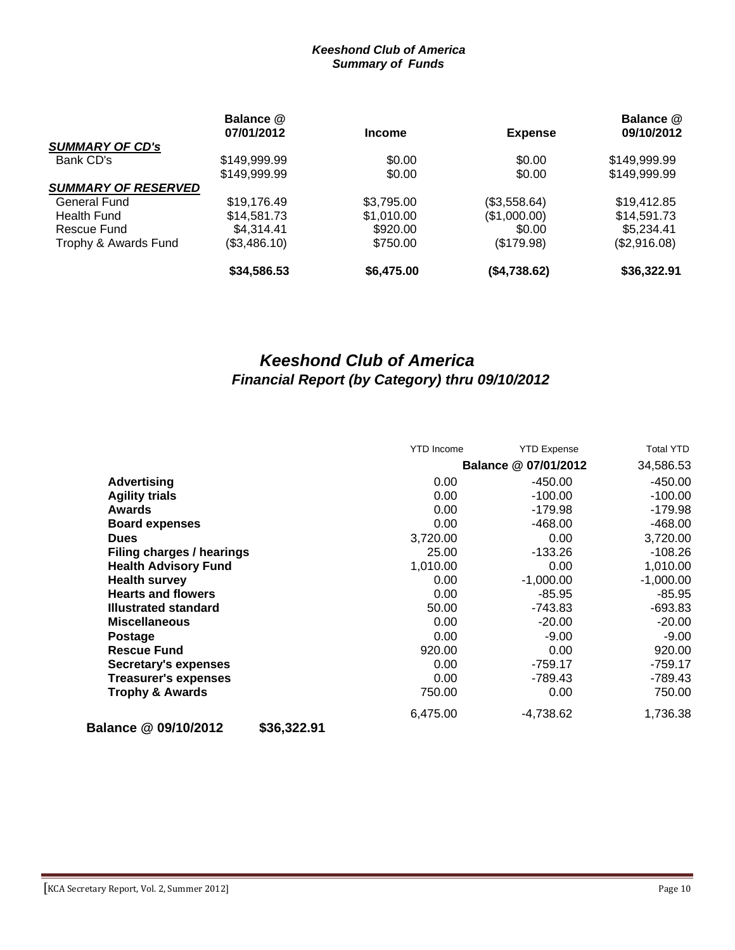#### *Keeshond Club of America Summary of Funds*

|                            | Balance @<br>07/01/2012 | <b>Income</b> | <b>Expense</b> | Balance @<br>09/10/2012 |
|----------------------------|-------------------------|---------------|----------------|-------------------------|
| <b>SUMMARY OF CD's</b>     |                         |               |                |                         |
|                            |                         |               |                |                         |
| Bank CD's                  | \$149,999.99            | \$0.00        | \$0.00         | \$149,999.99            |
|                            | \$149,999.99            | \$0.00        | \$0.00         | \$149,999.99            |
| <b>SUMMARY OF RESERVED</b> |                         |               |                |                         |
| <b>General Fund</b>        | \$19,176.49             | \$3,795.00    | (\$3,558.64)   | \$19,412.85             |
| Health Fund                | \$14,581.73             | \$1,010.00    | (\$1,000.00)   | \$14,591.73             |
| Rescue Fund                | \$4.314.41              | \$920.00      | \$0.00         | \$5,234.41              |
| Trophy & Awards Fund       | (\$3,486.10)            | \$750.00      | (\$179.98)     | (\$2,916.08)            |
|                            | \$34,586.53             | \$6,475.00    | (\$4,738.62)   | \$36,322.91             |

### *Keeshond Club of America Financial Report (by Category) thru 09/10/2012*

|                                     | <b>YTD</b> Income    | <b>YTD Expense</b> | <b>Total YTD</b> |
|-------------------------------------|----------------------|--------------------|------------------|
|                                     | Balance @ 07/01/2012 |                    | 34,586.53        |
| <b>Advertising</b>                  | 0.00                 | $-450.00$          | $-450.00$        |
| <b>Agility trials</b>               | 0.00                 | $-100.00$          | $-100.00$        |
| <b>Awards</b>                       | 0.00                 | $-179.98$          | $-179.98$        |
| <b>Board expenses</b>               | 0.00                 | $-468.00$          | $-468.00$        |
| <b>Dues</b>                         | 3,720.00             | 0.00               | 3,720.00         |
| Filing charges / hearings           | 25.00                | -133.26            | $-108.26$        |
| <b>Health Advisory Fund</b>         | 1,010.00             | 0.00               | 1,010.00         |
| <b>Health survey</b>                | 0.00                 | $-1,000.00$        | $-1,000.00$      |
| <b>Hearts and flowers</b>           | 0.00                 | $-85.95$           | $-85.95$         |
| <b>Illustrated standard</b>         | 50.00                | -743.83            | $-693.83$        |
| <b>Miscellaneous</b>                | 0.00                 | $-20.00$           | $-20.00$         |
| <b>Postage</b>                      | 0.00                 | $-9.00$            | $-9.00$          |
| <b>Rescue Fund</b>                  | 920.00               | 0.00               | 920.00           |
| <b>Secretary's expenses</b>         | 0.00                 | $-759.17$          | $-759.17$        |
| <b>Treasurer's expenses</b>         | 0.00                 | -789.43            | $-789.43$        |
| <b>Trophy &amp; Awards</b>          | 750.00               | 0.00               | 750.00           |
|                                     | 6,475.00             | -4,738.62          | 1,736.38         |
| Balance @ 09/10/2012<br>\$36,322.91 |                      |                    |                  |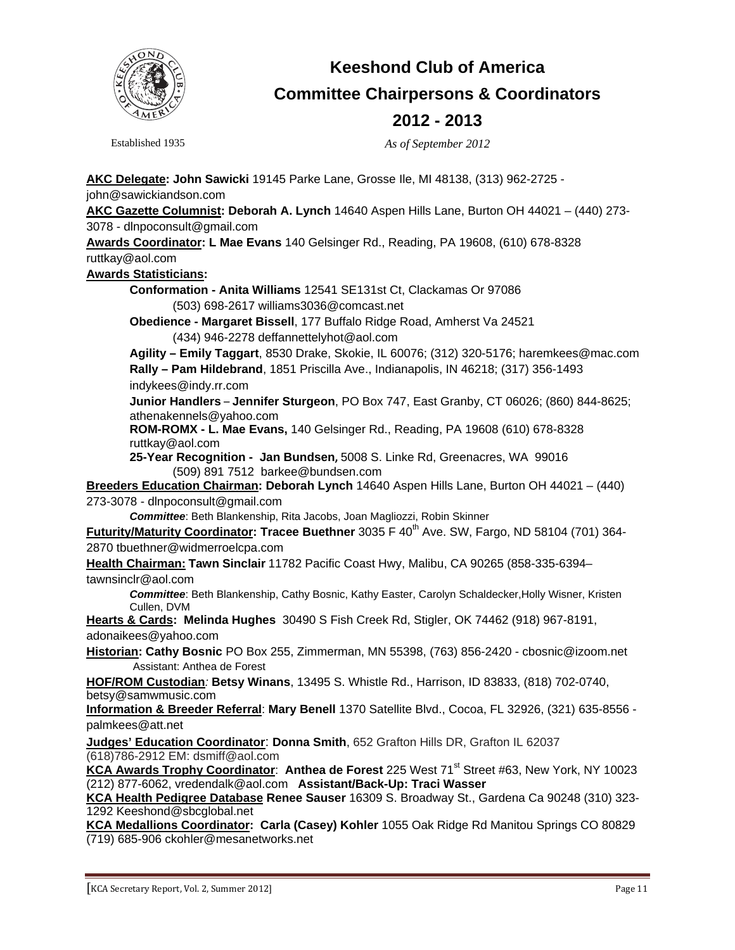

## **Keeshond Club of America Committee Chairpersons & Coordinators 2012 - 2013**

Established 1935 *As of September 2012* 

**AKC Delegate: John Sawicki** 19145 Parke Lane, Grosse Ile, MI 48138, (313) 962-2725 john@sawickiandson.com

**AKC Gazette Columnist: Deborah A. Lynch** 14640 Aspen Hills Lane, Burton OH 44021 – (440) 273- 3078 - dlnpoconsult@gmail.com

**Awards Coordinator: L Mae Evans** 140 Gelsinger Rd., Reading, PA 19608, (610) 678-8328 ruttkay@aol.com

#### **Awards Statisticians:**

**Conformation - Anita Williams** 12541 SE131st Ct, Clackamas Or 97086 (503) 698-2617 williams3036@comcast.net

**Obedience - Margaret Bissell**, 177 Buffalo Ridge Road, Amherst Va 24521 (434) 946-2278 deffannettelyhot@aol.com

**Agility – Emily Taggart**, 8530 Drake, Skokie, IL 60076; (312) 320-5176; haremkees@mac.com **Rally – Pam Hildebrand**, 1851 Priscilla Ave., Indianapolis, IN 46218; (317) 356-1493 indykees@indy.rr.com

**Junior Handlers** – **Jennifer Sturgeon**, PO Box 747, East Granby, CT 06026; (860) 844-8625; athenakennels@yahoo.com

**ROM-ROMX - L. Mae Evans,** 140 Gelsinger Rd., Reading, PA 19608 (610) 678-8328 ruttkay@aol.com

**25-Year Recognition - Jan Bundsen,** 5008 S. Linke Rd, Greenacres, WA 99016 (509) 891 7512 barkee@bundsen.com

**Breeders Education Chairman: Deborah Lynch** 14640 Aspen Hills Lane, Burton OH 44021 – (440) 273-3078 - dlnpoconsult@gmail.com

*Committee*: Beth Blankenship, Rita Jacobs, Joan Magliozzi, Robin Skinner

Futurity/Maturity Coordinator: Tracee Buethner 3035 F 40<sup>th</sup> Ave. SW, Fargo, ND 58104 (701) 364-2870 tbuethner@widmerroelcpa.com

**Health Chairman: Tawn Sinclair** 11782 Pacific Coast Hwy, Malibu, CA 90265 (858-335-6394– tawnsinclr@aol.com

*Committee*: Beth Blankenship, Cathy Bosnic, Kathy Easter, Carolyn Schaldecker,Holly Wisner, Kristen Cullen, DVM

**Hearts & Cards: Melinda Hughes** 30490 S Fish Creek Rd, Stigler, OK 74462 (918) 967-8191, adonaikees@yahoo.com

**Historian: Cathy Bosnic** PO Box 255, Zimmerman, MN 55398, (763) 856-2420 - cbosnic@izoom.net Assistant: Anthea de Forest

**HOF/ROM Custodian***:* **Betsy Winans**, 13495 S. Whistle Rd., Harrison, ID 83833, (818) 702-0740, betsy@samwmusic.com

**Information & Breeder Referral**: **Mary Benell** 1370 Satellite Blvd., Cocoa, FL 32926, (321) 635-8556 palmkees@att.net

**Judges' Education Coordinator**: **Donna Smith**, 652 Grafton Hills DR, Grafton IL 62037 (618)786-2912 EM: dsmiff@aol.com

KCA Awards Trophy Coordinator: Anthea de Forest 225 West 71<sup>st</sup> Street #63, New York, NY 10023 (212) 877-6062, vredendalk@aol.com **Assistant/Back-Up: Traci Wasser** 

**KCA Health Pedigree Database Renee Sauser** 16309 S. Broadway St., Gardena Ca 90248 (310) 323- 1292 Keeshond@sbcglobal.net

**KCA Medallions Coordinator: Carla (Casey) Kohler** 1055 Oak Ridge Rd Manitou Springs CO 80829 (719) 685-906 ckohler@mesanetworks.net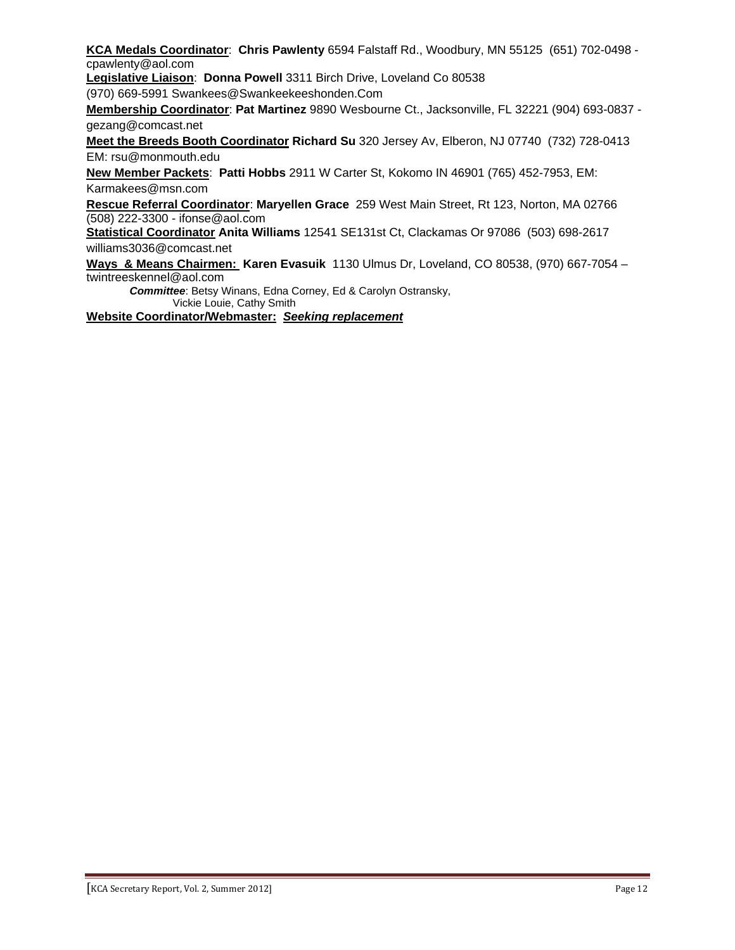**KCA Medals Coordinator**: **Chris Pawlenty** 6594 Falstaff Rd., Woodbury, MN 55125 (651) 702-0498 cpawlenty@aol.com

**Legislative Liaison**: **Donna Powell** 3311 Birch Drive, Loveland Co 80538

(970) 669-5991 Swankees@Swankeekeeshonden.Com

**Membership Coordinator**: **Pat Martinez** 9890 Wesbourne Ct., Jacksonville, FL 32221 (904) 693-0837 gezang@comcast.net

**Meet the Breeds Booth Coordinator Richard Su** 320 Jersey Av, Elberon, NJ 07740 (732) 728-0413 EM: rsu@monmouth.edu

**New Member Packets**: **Patti Hobbs** 2911 W Carter St, Kokomo IN 46901 (765) 452-7953, EM: Karmakees@msn.com

**Rescue Referral Coordinator**: **Maryellen Grace** 259 West Main Street, Rt 123, Norton, MA 02766 (508) 222-3300 - ifonse@aol.com

**Statistical Coordinator Anita Williams** 12541 SE131st Ct, Clackamas Or 97086 (503) 698-2617 williams3036@comcast.net

**Ways & Means Chairmen: Karen Evasuik** 1130 Ulmus Dr, Loveland, CO 80538, (970) 667-7054 – twintreeskennel@aol.com

*Committee*: Betsy Winans, Edna Corney, Ed & Carolyn Ostransky, Vickie Louie, Cathy Smith

**Website Coordinator/Webmaster:** *Seeking replacement*